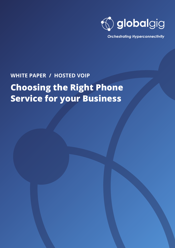

**Orchestrating Hyperconnectivity** 

## **WHITE PAPER / HOSTED VOIP**

# **Choosing the Right Phone Service for your Business**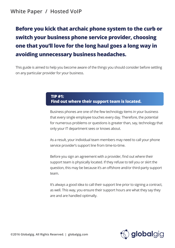### **White Paper / Hosted VoIP**

## **Before you kick that archaic phone system to the curb or switch your business phone service provider, choosing one that you'll love for the long haul goes a long way in avoiding unnecessary business headaches.**

This guide is aimed to help you become aware of the things you should consider before settling on any particular provider for your business.

#### **TIP #1: Find out where their support team is located.**

Business phones are one of the few technology items in your business that every single employee touches every day. Therefore, the potential for numerous problems or questions is greater than, say, technology that only your IT department sees or knows about.

As a result, your individual team members may need to call your phone service provider's support line from time-to-time.

Before you sign an agreement with a provider, find out where their support team is physically located. If they refuse to tell you or skirt the question, this may be because it's an offshore and/or third-party support team.

It's always a good idea to call their support line prior to signing a contract, as well. This way, you ensure their support hours are what they say they are and are handled optimally.

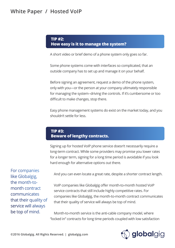## **White Paper / Hosted VoIP**

#### **TIP #2: How easy is it to manage the system?**

A short video or brief demo of a phone system only goes so far.

Some phone systems come with interfaces so complicated, that an outside company has to set up and manage it on your behalf.

Before signing an agreement, request a demo of the phone system, only with you—or the person at your company ultimately responsible for managing the system--driving the controls. If it's cumbersome or too difficult to make changes, stop there.

Easy phone management systems do exist on the market today, and you shouldn't settle for less.

#### **TIP #3: Beware of lengthy contracts.**

Signing up for hosted VoIP phone service doesn't necessarily require a long-term contract. While some providers may promise you lower rates for a longer term, signing for a long time period is avoidable if you look hard enough for alternative options out there.

For companies like Globalgig, the month-tomonth contract communicates that their quality of service will always be top of mind.

And you can even locate a great rate, despite a shorter contract length.

VoIP companies like Globalgig offer month-to-month hosted VoIP service contracts that still include highly competitive rates. For companies like Globalgig, the month-to-month contract communicates that their quality of service will always be top of mind.

Month-to-month service is the anti-cable company model, where "locked in" contracts for long time periods coupled with low satisfaction

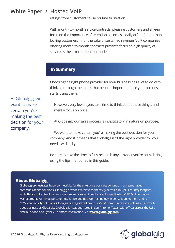### **White Paper / Hosted VoIP**

ratings from customers cause routine frustration.

With month-to-month service contracts, pleasing customers and a keen focus on the importance of retention becomes a daily effort. Rather than locking customers in for the sake of sustained revenue, VoIP companies offering month-to-month contracts prefer to focus on high quality of service as their main retention model.

#### **In Summary**

Choosing the right phone provider for your business has a lot to do with thinking through the things that become important once your business starts using them.

However, very few buyers take time to think about these things, and merely focus on price.

At Globalgig, our sales process is investigatory in nature on purpose.

We want to make certain you're making the best decision for your company. And if it means that Globalgig isn't the right provider for your needs, we'll tell you.

Be sure to take the time to fully research any provider you're considering using the tips mentioned in this guide.

#### **About Globalgig**

Globalgig orchestrates hyperconnectivity for the enterprise business continuum using managed communications solutions. Globalgig provides wireless connectivity across a 100-plus country footprint and offers a full suite of communications services and products including Hosted VoIP, Mobile Device Management, Wi-Fi Hotspots, Remote Office and Backup, Technology Expense Management and IoT/ M2M connectivity solutions. Globalgig is a registered brand of iGEM Communications Holdings LLC, which does business as Globalgig. Globalgig is headquartered in San Antonio, Texas, with offices across the U.S., and in London and Sydney. For more information, visit **www.globalgig.com.**



At Globalgig, we want to make certain you're making the best decision for your company.